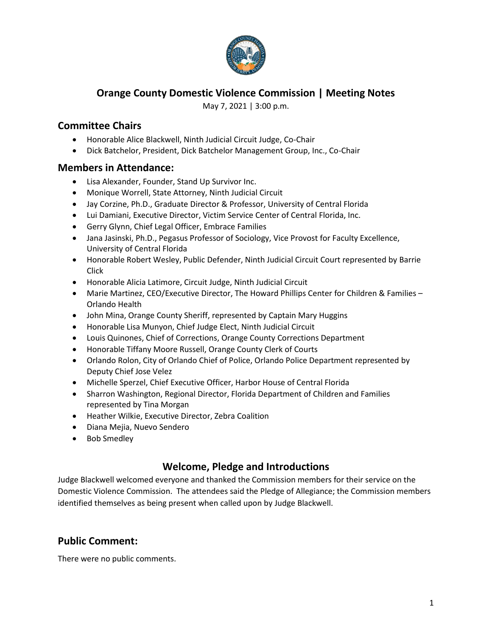

## **Orange County Domestic Violence Commission | Meeting Notes**

May 7, 2021 | 3:00 p.m.

### **Committee Chairs**

- Honorable Alice Blackwell, Ninth Judicial Circuit Judge, Co-Chair
- Dick Batchelor, President, Dick Batchelor Management Group, Inc., Co-Chair

#### **Members in Attendance:**

- Lisa Alexander, Founder, Stand Up Survivor Inc.
- Monique Worrell, State Attorney, Ninth Judicial Circuit
- Jay Corzine, Ph.D., Graduate Director & Professor, University of Central Florida
- Lui Damiani, Executive Director, Victim Service Center of Central Florida, Inc.
- Gerry Glynn, Chief Legal Officer, Embrace Families
- Jana Jasinski, Ph.D., Pegasus Professor of Sociology, Vice Provost for Faculty Excellence, University of Central Florida
- Honorable Robert Wesley, Public Defender, Ninth Judicial Circuit Court represented by Barrie Click
- Honorable Alicia Latimore, Circuit Judge, Ninth Judicial Circuit
- Marie Martinez, CEO/Executive Director, The Howard Phillips Center for Children & Families Orlando Health
- John Mina, Orange County Sheriff, represented by Captain Mary Huggins
- Honorable Lisa Munyon, Chief Judge Elect, Ninth Judicial Circuit
- Louis Quinones, Chief of Corrections, Orange County Corrections Department
- Honorable Tiffany Moore Russell, Orange County Clerk of Courts
- Orlando Rolon, City of Orlando Chief of Police, Orlando Police Department represented by Deputy Chief Jose Velez
- Michelle Sperzel, Chief Executive Officer, Harbor House of Central Florida
- Sharron Washington, Regional Director, Florida Department of Children and Families represented by Tina Morgan
- Heather Wilkie, Executive Director, Zebra Coalition
- Diana Mejia, Nuevo Sendero
- Bob Smedley

### **Welcome, Pledge and Introductions**

Judge Blackwell welcomed everyone and thanked the Commission members for their service on the Domestic Violence Commission. The attendees said the Pledge of Allegiance; the Commission members identified themselves as being present when called upon by Judge Blackwell.

## **Public Comment:**

There were no public comments.